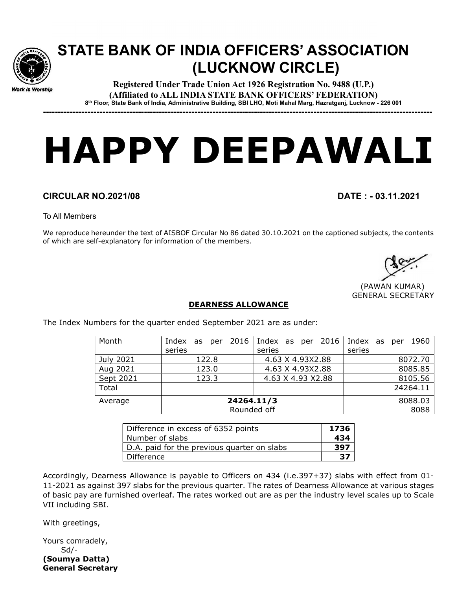

## STATE BANK OF INDIA OFFICERS' ASSOCIATION (LUCKNOW CIRCLE)

Registered Under Trade Union Act 1926 Registration No. 9488 (U.P.) (Affiliated to ALL INDIA STATE BANK OFFICERS' FEDERATION) 8 th Floor, State Bank of India, Administrative Building, SBI LHO, Moti Mahal Marg, Hazratganj, Lucknow - 226 001

-----------------------------------------------------------------------------------------------------------------------------------

## HAPPY DEEPAWALI

## CIRCULAR NO.2021/08 DATE : - 03.11.2021

To All Members

We reproduce hereunder the text of AISBOF Circular No 86 dated 30.10.2021 on the captioned subjects, the contents of which are self-explanatory for information of the members.

 (PAWAN KUMAR) GENERAL SECRETARY

## DEARNESS ALLOWANCE

The Index Numbers for the quarter ended September 2021 are as under:

| Month     |             | Index as per 2016 Index as per 2016 Index as per 1960 |          |
|-----------|-------------|-------------------------------------------------------|----------|
|           | series      | series                                                | series   |
| July 2021 | 122.8       | 4.63 X 4.93X2.88                                      | 8072.70  |
| Aug 2021  | 123.0       | 4.63 X 4.93X2.88                                      | 8085.85  |
| Sept 2021 | 123.3       | 4.63 X 4.93 X2.88                                     | 8105.56  |
| Total     |             |                                                       | 24264.11 |
| Average   | 24264.11/3  | 8088.03                                               |          |
|           | Rounded off | 8088                                                  |          |

| Difference in excess of 6352 points         |     |  |
|---------------------------------------------|-----|--|
| Number of slabs                             | 434 |  |
| D.A. paid for the previous quarter on slabs | 397 |  |
| Difference                                  | -37 |  |

Accordingly, Dearness Allowance is payable to Officers on 434 (i.e.397+37) slabs with effect from 01- 11-2021 as against 397 slabs for the previous quarter. The rates of Dearness Allowance at various stages of basic pay are furnished overleaf. The rates worked out are as per the industry level scales up to Scale VII including SBI.

With greetings,

Yours comradely, Sd/- (Soumya Datta) General Secretary